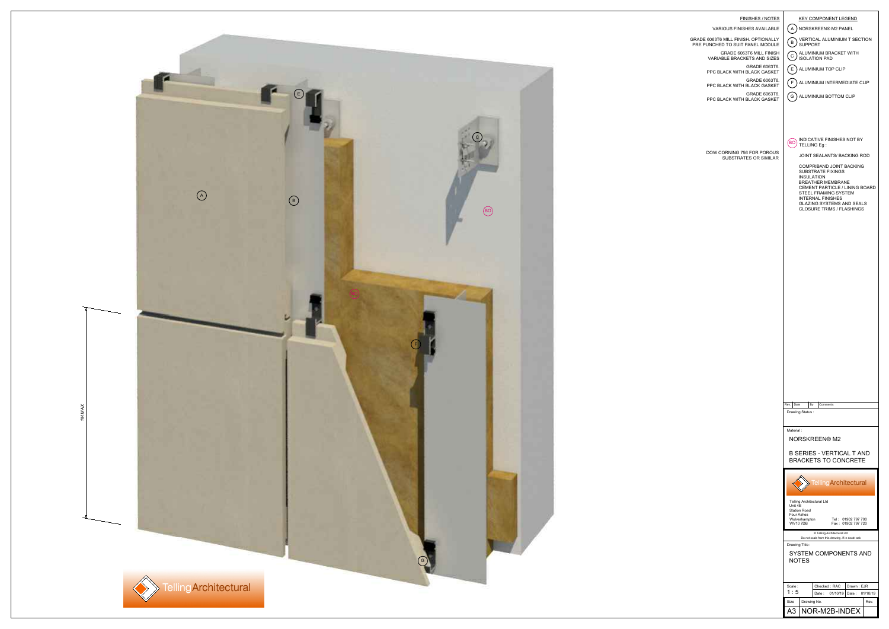

| FINISHES / NOTES<br>VARIOUS FINISHES AVAILABLE<br>GRADE 6063T6 MILL FINISH. OPTIONALLY<br>PRE PUNCHED TO SUIT PANEL MODULE<br>GRADE 6063T6 MILL FINISH<br>VARIABLE BRACKETS AND SIZES<br>GRADE 6063T6.<br>PPC BLACK WITH BLACK GASKET<br>GRADE 6063T6.<br>PPC BLACK WITH BLACK GASKET<br>GRADE 6063T6.<br>PPC BLACK WITH BLACK GASKET | <b>KEY COMPONENT LEGEND</b><br>$\mathsf{A}$<br>NORSKREEN® M2 PANEL<br>VERTICAL ALUMINIUM T SECTION<br>B<br><b>SUPPORT</b><br>ALUMINIUM BRACKET WITH<br>С<br><b>ISOLATION PAD</b><br>E<br>ALUMINIUM TOP CLIP<br>F<br>ALUMINIUM INTERMEDIATE CLIP<br>G<br>ALUMINIUM BOTTOM CLIP                                                                         |  |
|---------------------------------------------------------------------------------------------------------------------------------------------------------------------------------------------------------------------------------------------------------------------------------------------------------------------------------------|-------------------------------------------------------------------------------------------------------------------------------------------------------------------------------------------------------------------------------------------------------------------------------------------------------------------------------------------------------|--|
| DOW CORNING 756 FOR POROUS<br>SUBSTRATES OR SIMILAR                                                                                                                                                                                                                                                                                   | INDICATIVE FINISHES NOT BY<br>BO<br>TELLING Eg:<br>JOINT SEALANTS/ BACKING ROD<br><b>COMPRIBAND JOINT BACKING</b><br>SUBSTRATE FIXINGS<br><b>INSULATION</b><br><b>BREATHER MEMBRANE</b><br>CEMENT PARTICLE / LINING BOARD<br>STEEL FRAMING SYSTEM<br><b>INTERNAL FINISHES</b><br><b>GLAZING SYSTEMS AND SEALS</b><br><b>CLOSURE TRIMS / FLASHINGS</b> |  |
|                                                                                                                                                                                                                                                                                                                                       |                                                                                                                                                                                                                                                                                                                                                       |  |
|                                                                                                                                                                                                                                                                                                                                       | Date<br>By<br>Rev.<br>Comments<br>Drawing Status:                                                                                                                                                                                                                                                                                                     |  |
|                                                                                                                                                                                                                                                                                                                                       | Material:<br>NORSKREEN® M2<br><b>B SERIES - VERTICAL T AND</b><br><b>BRACKETS TO CONCRETE</b>                                                                                                                                                                                                                                                         |  |
|                                                                                                                                                                                                                                                                                                                                       | <b>Telling Architectural</b><br><b>Telling Architectural Ltd</b><br>Unit 4E<br><b>Station Road</b><br>Four Ashes<br>Tel: 01902 797 700<br>Wolverhampton<br>Fax: 01902 797 720<br><b>WV10 7DB</b>                                                                                                                                                      |  |
|                                                                                                                                                                                                                                                                                                                                       | © Telling Architectural Ltd<br>Do not scale from this drawing. If in doubt ask<br>Drawing Title:<br>SYSTEM COMPONENTS AND<br><b>NOTES</b>                                                                                                                                                                                                             |  |
|                                                                                                                                                                                                                                                                                                                                       | Scale:<br>Drawn: EJR<br>Checked: RAC<br>1:5<br>01/10/19<br>Date:<br>01/10/19<br>Date:<br>Drawing No.<br>Size<br>Rev.<br>NOR-M2B-INDEX<br>A3                                                                                                                                                                                                           |  |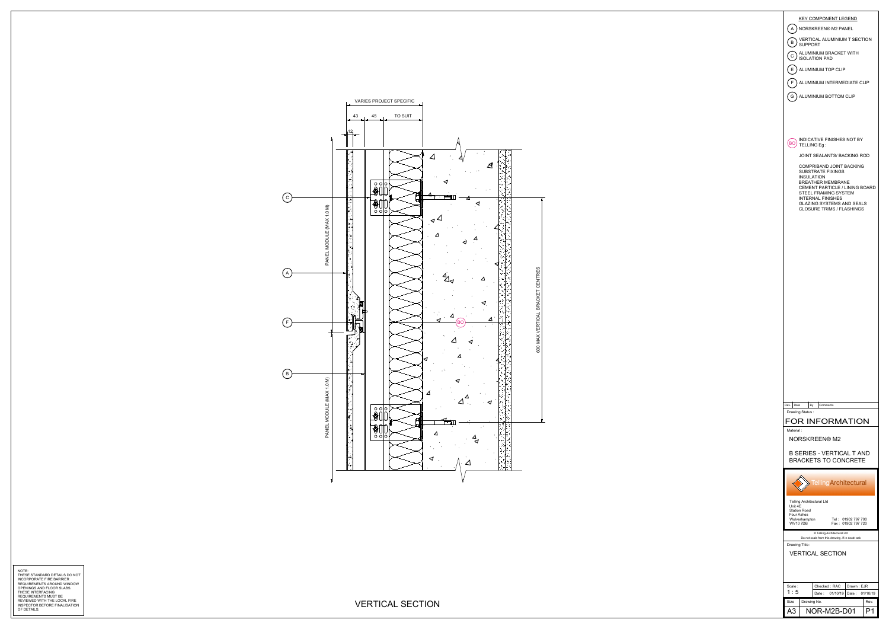

NOTE:<br>THESE STANDARD DETAILS DO NOT<br>REQUIREMENTS AROUND WINDOW<br>OPENINGS AND FLOOR SLABS.<br>THESE INTERFACING<br>REQUIREMENTS MUST BE<br>REQUIREMENTS MUST BE<br>REQUIREMENTS MUST BEFORE FINALISATION<br>INSPECTOR BEFORE FINALISATION

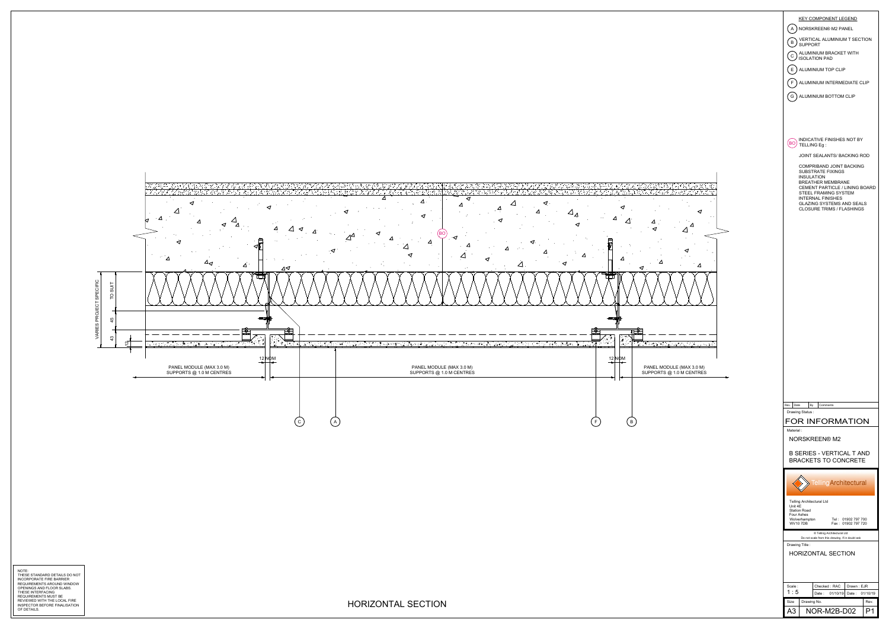

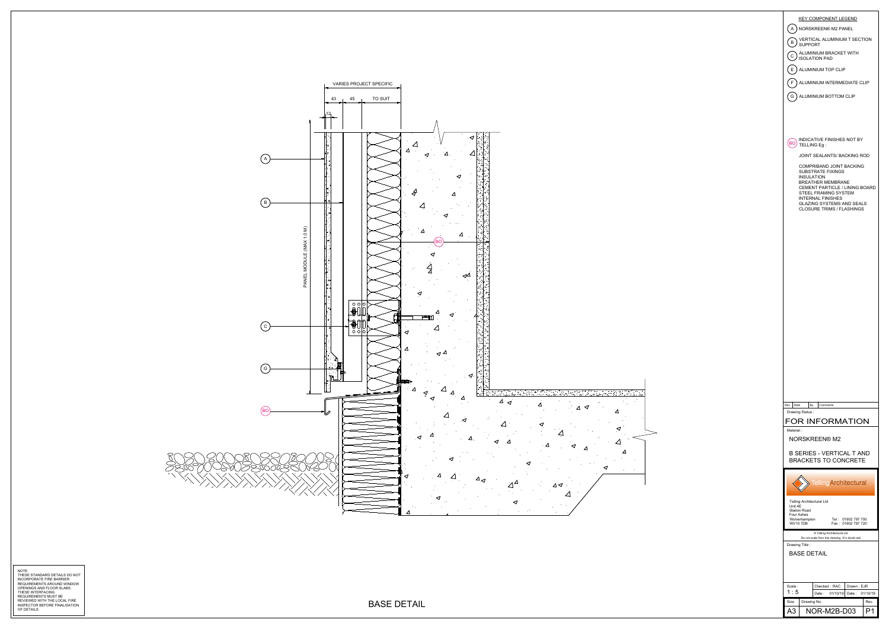

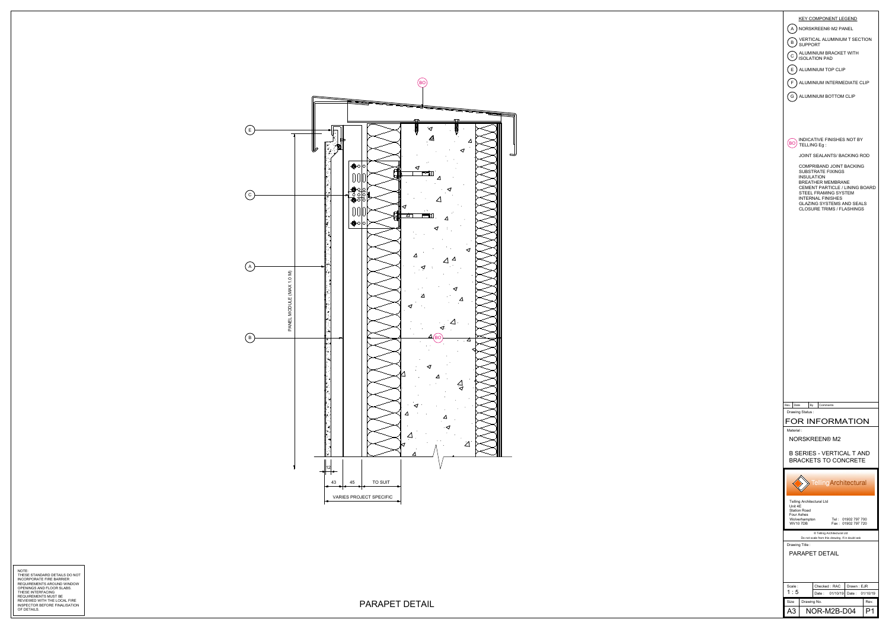

NOTE:<br>THESE STANDARD DETAILS DO NOT<br>REQUIREMENTS FIRE BARRIER<br>OPENINGS AND FLOOR SLABS.<br>THESE INTERFACING<br>REQUIREMENTS MUST BE<br>REQUIREMENTS MUST BE<br>REVIEWED WITH THE LOCAL FIRE<br>NISPECTOR BEFORE FINALISATION NOTE:<br>THESE STANDARD DETAILS DO NOT<br>PRODIREMENTS ARQUIRENTS ON OUT<br>OF DIRECT MATASTAN ON NINDOW<br>DEPENINGS AND ROOM SLABS.<br>REQUIREMENTS INCE DECAL FIRE<br>REQUIREMENTS INCE DECAL FIRE<br>OF DETAILS BEFORE FINALISATION<br>OF DETAILS

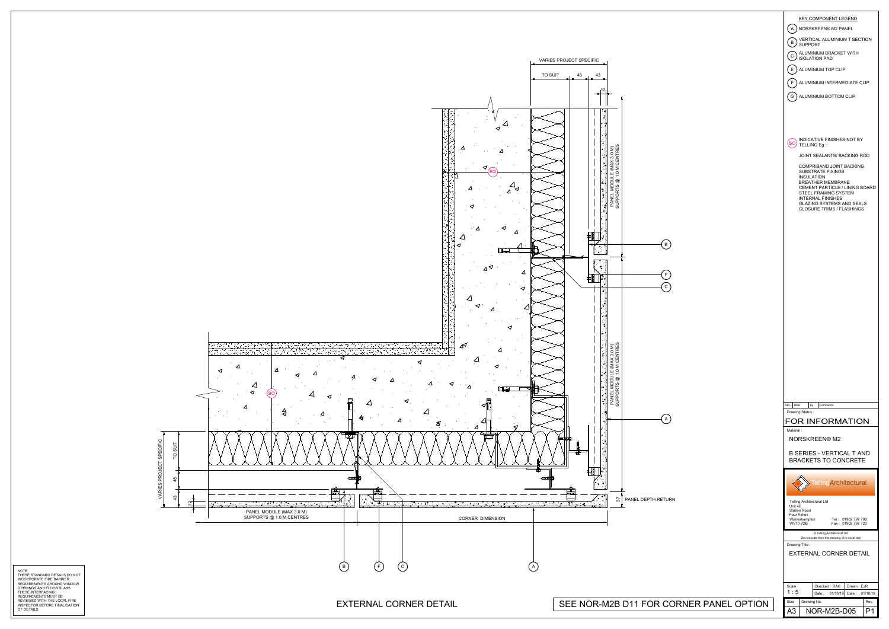

| <b>KEY COMPONENT LEGEND</b>                                                     |
|---------------------------------------------------------------------------------|
| NORSKREEN® M2 PANEL<br>A                                                        |
| VERTICAL ALUMINIUM T SECTION<br>B<br><b>SUPPORT</b>                             |
| ALUMINIUM BRACKET WITH<br>$\mathbf C$<br><b>ISOLATION PAD</b>                   |
| E ) ALUMINIUM TOP CLIP                                                          |
|                                                                                 |
| F<br>ALUMINIUM INTERMEDIATE CLIP                                                |
| G ) ALUMINIUM BOTTOM CLIP                                                       |
|                                                                                 |
|                                                                                 |
| INDICATIVE FINISHES NOT BY                                                      |
| BO<br>TELLING Eg:                                                               |
| JOINT SEALANTS/ BACKING ROD                                                     |
| COMPRIBAND JOINT BACKING<br><b>SUBSTRATE FIXINGS</b>                            |
| <b>INSULATION</b><br><b>BREATHER MEMBRANE</b><br>CEMENT PARTICLE / LINING BOARD |
| STEEL FRAMING SYSTEM<br><b>INTERNAL FINISHES</b>                                |
| GLAZING SYSTEMS AND SEALS<br><b>CLOSURE TRIMS / FLASHINGS</b>                   |
|                                                                                 |
|                                                                                 |
|                                                                                 |
|                                                                                 |
|                                                                                 |
|                                                                                 |
|                                                                                 |
|                                                                                 |
|                                                                                 |
|                                                                                 |
|                                                                                 |
|                                                                                 |
|                                                                                 |
|                                                                                 |
|                                                                                 |
|                                                                                 |
| Rev.<br>Date<br>By<br>Comments                                                  |
| Drawing Status:                                                                 |
| FOR INFORMATION                                                                 |
| Material:<br><b>NORSKREEN® M2</b>                                               |
| <b>B SERIES - VERTICAL T AND</b>                                                |
| <b>BRACKETS TO CONCRETE</b>                                                     |
|                                                                                 |
| <b>Telling Architectural</b>                                                    |
|                                                                                 |
| Telling Architectural Ltd<br>Unit 4E<br><b>Station Road</b>                     |
| Four Ashes<br>Wolverhampton<br>Tel: 01902 797 700                               |
| <b>WV10 7DB</b><br>Fax: 01902 797 720<br>C Telling Architectural Ltd            |
| Do not scale from this drawing. If in doubt ask<br>Drawing Title:               |
| <b>EXTERNAL CORNER DETAIL</b>                                                   |
|                                                                                 |
|                                                                                 |
| Scale:<br>Checked: RAC<br>Drawn: EJR                                            |
| 1 : 5<br>01/10/19<br>01/10/19<br>Date:<br>Date:<br>Size<br>Drawing No.<br>Rev.  |
| ۹3<br>NOR-M2B-D05<br>P1                                                         |

| ORNER PANEL OPTION |  |
|--------------------|--|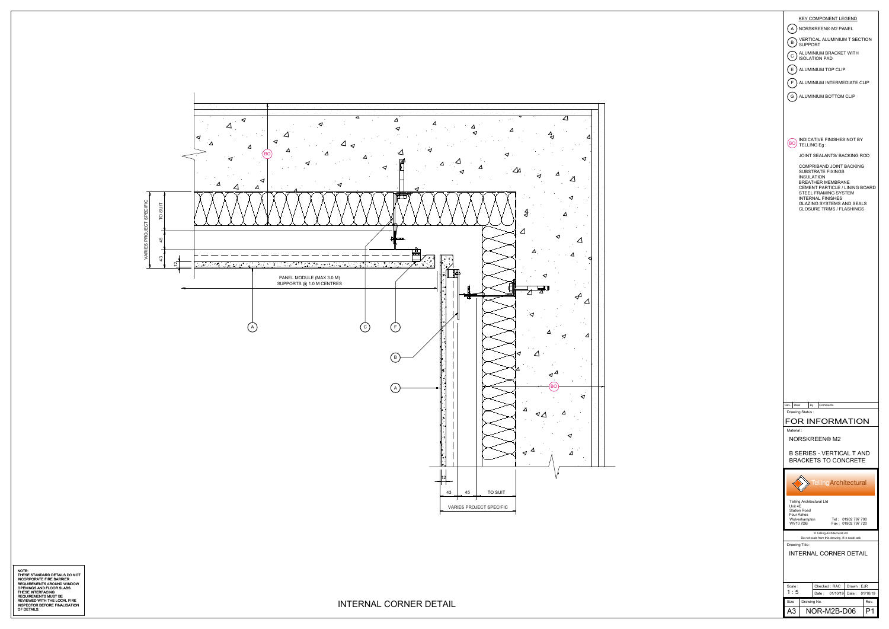

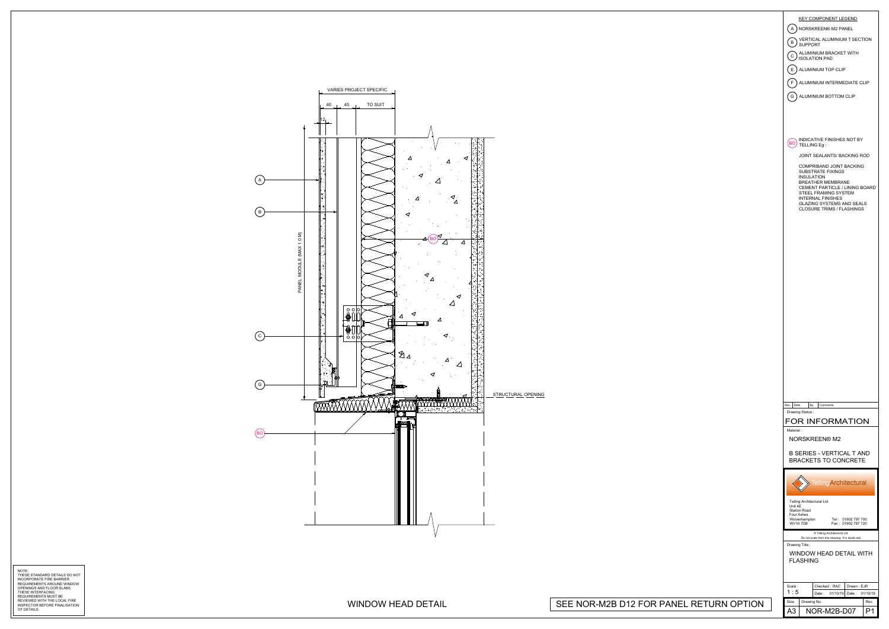

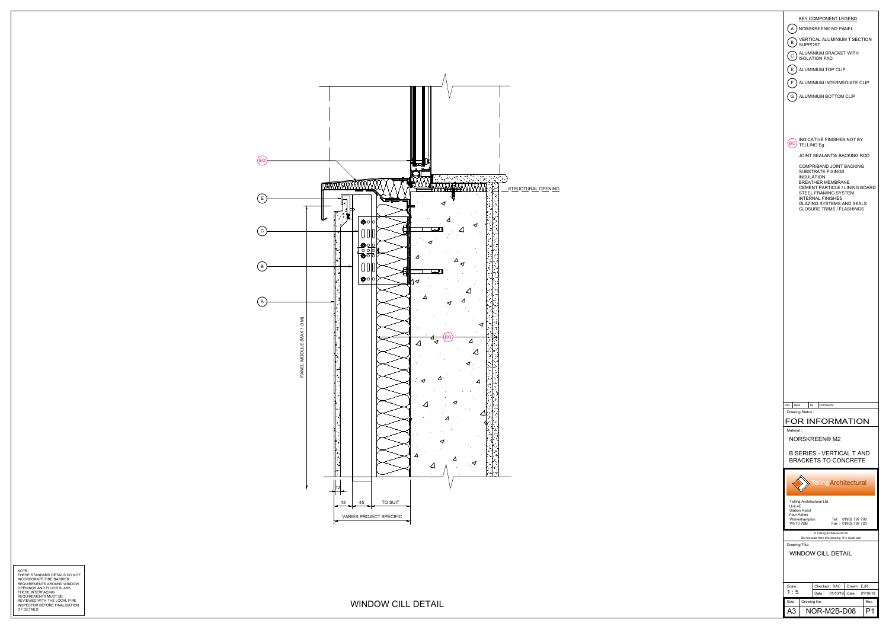

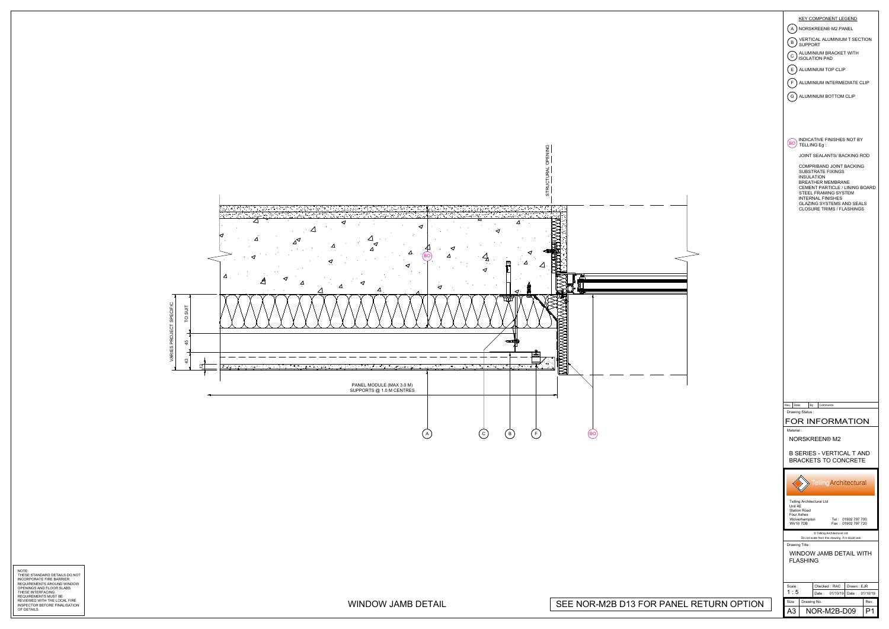

NOTE:<br>THESE STANDARD DETAILS DO NOT<br>REQUIREMENTS FIRE BARRIER<br>OPENINGS AND FLOOR SLABS.<br>THESE INTERFACING<br>REQUIREMENTS MUST BE<br>REQUIREMENTS MUST BE<br>REVIEWED WITH THE LOCAL FIRE<br>NISPECTOR BEFORE FINALISATION NOTE:<br>THESE STANDARD DETAILS DO NOT<br>REQUIREMENTS AROUND WINDOW<br>NORFORM WITH ME ON DAMBLE RESURFACE AND SURFAILS ON THE SAFRIER<br>DEFINING AND TOOR SLABS.<br>REQUIREMENTS INCE ON THE LOCAL FREE.<br>OF DETAILS CHEW WITHE LOCAL FREE.

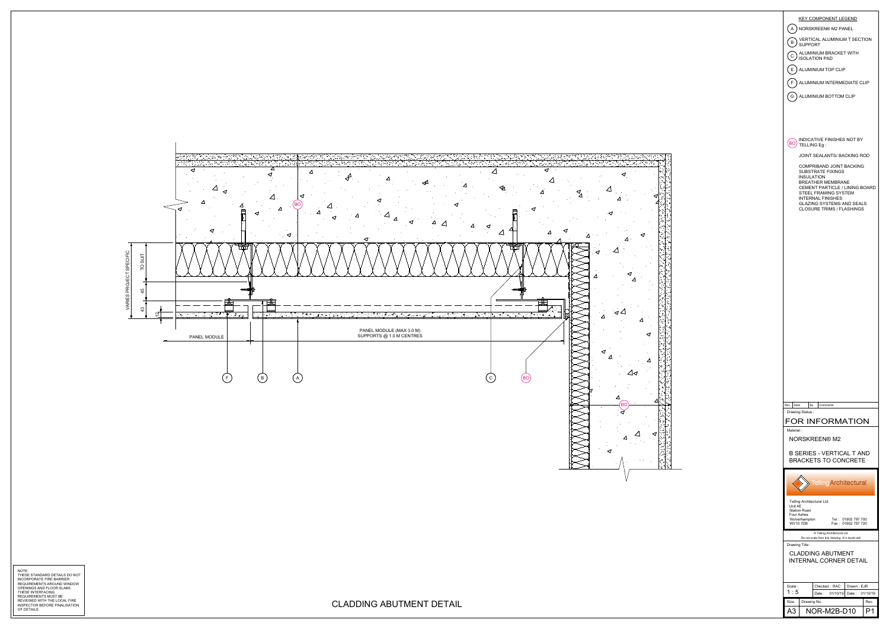

NOTE:<br>THESE STANDARD DETAILS DO NOT<br>REQUIREMENTS FIRE BARRIER<br>OPENINGS AND FLOOR SLABS.<br>THESE INTERFACING<br>REQUIREMENTS MUST BE<br>REQUIREMENTS MUST BE<br>REVIEWED WITH THE LOCAL FIRE<br>NISPECTOR BEFORE FINALISATION NOTE:<br>INTERNATIONARIO DETAILS.DO NOT<br>INCREDING AND ARD DETAILS.DO NOT<br>CONDING AND AROUST AND SURFAILS ON ONE WAS SERVED ON THE SERVED ON THE SERVED ON ONE WAS CONDINENTED.<br>CONDING AND A COOR WAS TRUE OOK A FREE RESURFACING



 $\Delta$ 

 $\triangleleft$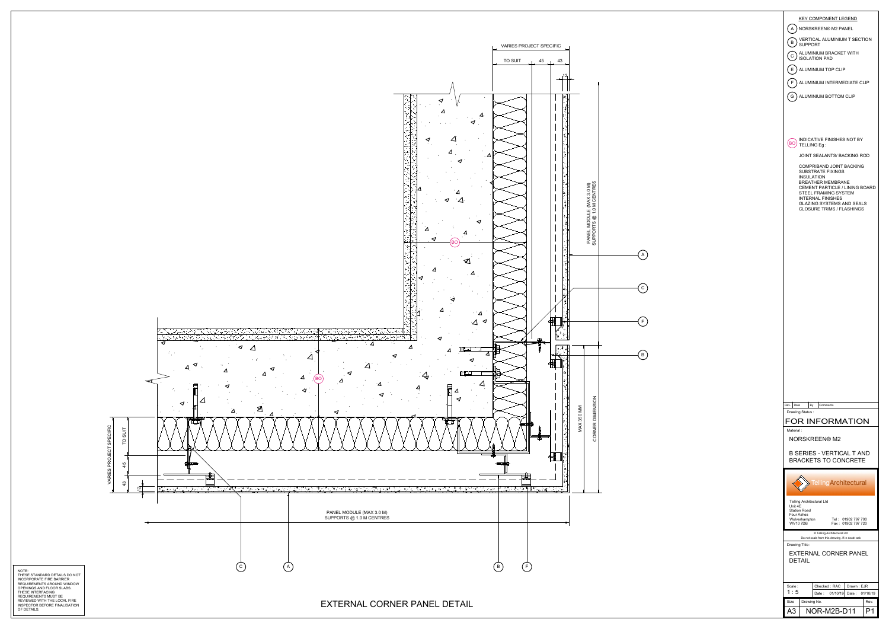

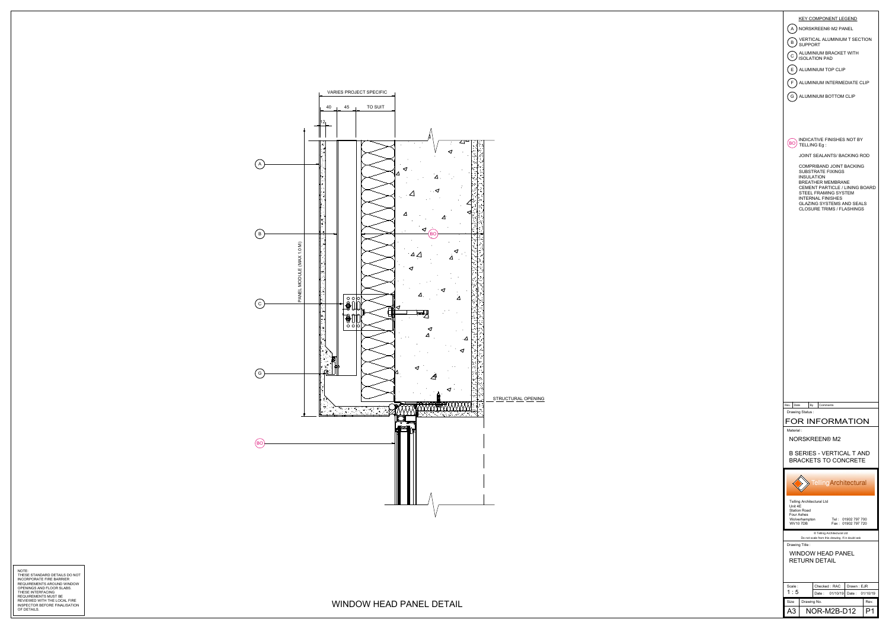